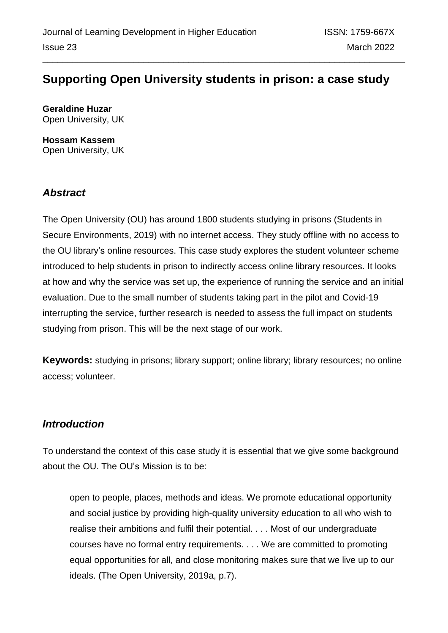# **Supporting Open University students in prison: a case study**

**Geraldine Huzar** Open University, UK

**Hossam Kassem** Open University, UK

## *Abstract*

The Open University (OU) has around 1800 students studying in prisons (Students in Secure Environments, 2019) with no internet access. They study offline with no access to the OU library's online resources. This case study explores the student volunteer scheme introduced to help students in prison to indirectly access online library resources. It looks at how and why the service was set up, the experience of running the service and an initial evaluation. Due to the small number of students taking part in the pilot and Covid-19 interrupting the service, further research is needed to assess the full impact on students studying from prison. This will be the next stage of our work.

**Keywords:** studying in prisons; library support; online library; library resources; no online access; volunteer.

## *Introduction*

To understand the context of this case study it is essential that we give some background about the OU. The OU's Mission is to be:

open to people, places, methods and ideas. We promote educational opportunity and social justice by providing high-quality university education to all who wish to realise their ambitions and fulfil their potential. . . . Most of our undergraduate courses have no formal entry requirements. . . . We are committed to promoting equal opportunities for all, and close monitoring makes sure that we live up to our ideals. (The Open University, 2019a, p.7).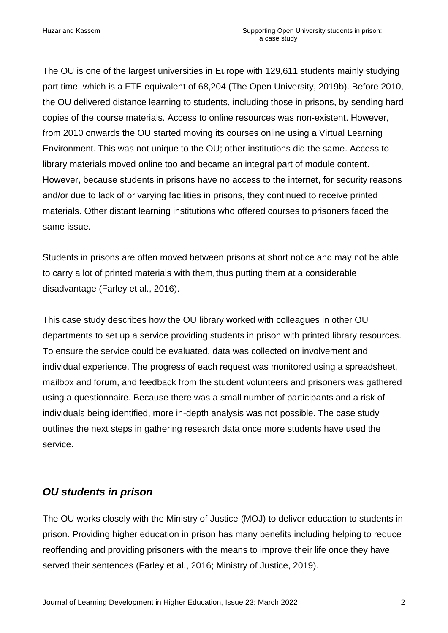The OU is one of the largest universities in Europe with 129,611 students mainly studying part time, which is a FTE equivalent of 68,204 (The Open University, 2019b). Before 2010, the OU delivered distance learning to students, including those in prisons, by sending hard copies of the course materials. Access to online resources was non-existent. However, from 2010 onwards the OU started moving its courses online using a Virtual Learning Environment. This was not unique to the OU; other institutions did the same. Access to library materials moved online too and became an integral part of module content. However, because students in prisons have no access to the internet, for security reasons and/or due to lack of or varying facilities in prisons, they continued to receive printed materials. Other distant learning institutions who offered courses to prisoners faced the same issue.

Students in prisons are often moved between prisons at short notice and may not be able to carry a lot of printed materials with them, thus putting them at a considerable disadvantage (Farley et al., 2016).

This case study describes how the OU library worked with colleagues in other OU departments to set up a service providing students in prison with printed library resources. To ensure the service could be evaluated, data was collected on involvement and individual experience. The progress of each request was monitored using a spreadsheet, mailbox and forum, and feedback from the student volunteers and prisoners was gathered using a questionnaire. Because there was a small number of participants and a risk of individuals being identified, more in-depth analysis was not possible. The case study outlines the next steps in gathering research data once more students have used the service.

### *OU students in prison*

The OU works closely with the Ministry of Justice (MOJ) to deliver education to students in prison. Providing higher education in prison has many benefits including helping to reduce reoffending and providing prisoners with the means to improve their life once they have served their sentences (Farley et al., 2016; Ministry of Justice, 2019).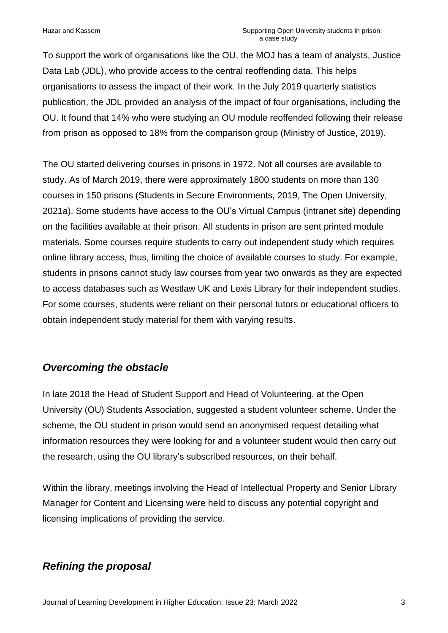To support the work of organisations like the OU, the MOJ has a team of analysts, Justice Data Lab (JDL), who provide access to the central reoffending data. This helps organisations to assess the impact of their work. In the July 2019 quarterly statistics publication, the JDL provided an analysis of the impact of four organisations, including the OU. It found that 14% who were studying an OU module reoffended following their release from prison as opposed to 18% from the comparison group (Ministry of Justice, 2019).

The OU started delivering courses in prisons in 1972. Not all courses are available to study. As of March 2019, there were approximately 1800 students on more than 130 courses in 150 prisons (Students in Secure Environments, 2019, The Open University, 2021a). Some students have access to the OU's Virtual Campus (intranet site) depending on the facilities available at their prison. All students in prison are sent printed module materials. Some courses require students to carry out independent study which requires online library access, thus, limiting the choice of available courses to study. For example, students in prisons cannot study law courses from year two onwards as they are expected to access databases such as Westlaw UK and Lexis Library for their independent studies. For some courses, students were reliant on their personal tutors or educational officers to obtain independent study material for them with varying results.

## *Overcoming the obstacle*

In late 2018 the Head of Student Support and Head of Volunteering, at the Open University (OU) Students Association, suggested a student volunteer scheme. Under the scheme, the OU student in prison would send an anonymised request detailing what information resources they were looking for and a volunteer student would then carry out the research, using the OU library's subscribed resources, on their behalf.

Within the library, meetings involving the Head of Intellectual Property and Senior Library Manager for Content and Licensing were held to discuss any potential copyright and licensing implications of providing the service.

## *Refining the proposal*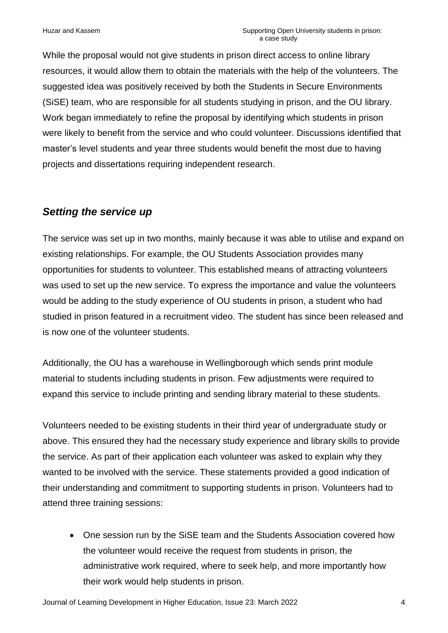While the proposal would not give students in prison direct access to online library resources, it would allow them to obtain the materials with the help of the volunteers. The suggested idea was positively received by both the Students in Secure Environments (SiSE) team, who are responsible for all students studying in prison, and the OU library. Work began immediately to refine the proposal by identifying which students in prison were likely to benefit from the service and who could volunteer. Discussions identified that master's level students and year three students would benefit the most due to having projects and dissertations requiring independent research.

### *Setting the service up*

The service was set up in two months, mainly because it was able to utilise and expand on existing relationships. For example, the OU Students Association provides many opportunities for students to volunteer. This established means of attracting volunteers was used to set up the new service. To express the importance and value the volunteers would be adding to the study experience of OU students in prison, a student who had studied in prison featured in a recruitment video. The student has since been released and is now one of the volunteer students.

Additionally, the OU has a warehouse in Wellingborough which sends print module material to students including students in prison. Few adjustments were required to expand this service to include printing and sending library material to these students.

Volunteers needed to be existing students in their third year of undergraduate study or above. This ensured they had the necessary study experience and library skills to provide the service. As part of their application each volunteer was asked to explain why they wanted to be involved with the service. These statements provided a good indication of their understanding and commitment to supporting students in prison. Volunteers had to attend three training sessions:

• One session run by the SiSE team and the Students Association covered how the volunteer would receive the request from students in prison, the administrative work required, where to seek help, and more importantly how their work would help students in prison.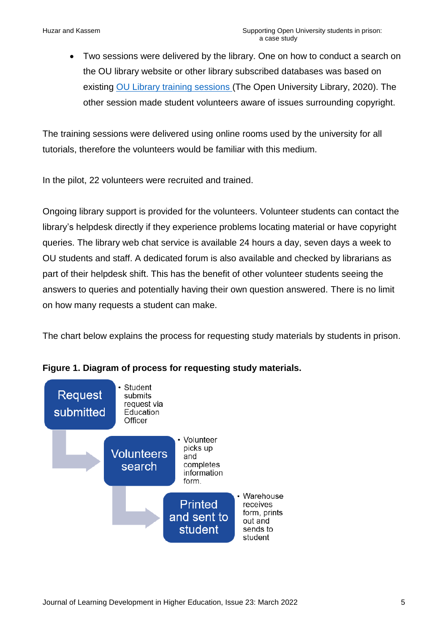• Two sessions were delivered by the library. One on how to conduct a search on the OU library website or other library subscribed databases was based on existing [OU Library training sessions](https://www.open.ac.uk/library/training-and-events) (The Open University Library, 2020). The other session made student volunteers aware of issues surrounding copyright.

The training sessions were delivered using online rooms used by the university for all tutorials, therefore the volunteers would be familiar with this medium.

In the pilot, 22 volunteers were recruited and trained.

Ongoing library support is provided for the volunteers. Volunteer students can contact the library's helpdesk directly if they experience problems locating material or have copyright queries. The library web chat service is available 24 hours a day, seven days a week to OU students and staff. A dedicated forum is also available and checked by librarians as part of their helpdesk shift. This has the benefit of other volunteer students seeing the answers to queries and potentially having their own question answered. There is no limit on how many requests a student can make.

The chart below explains the process for requesting study materials by students in prison.



#### **Figure 1. Diagram of process for requesting study materials.**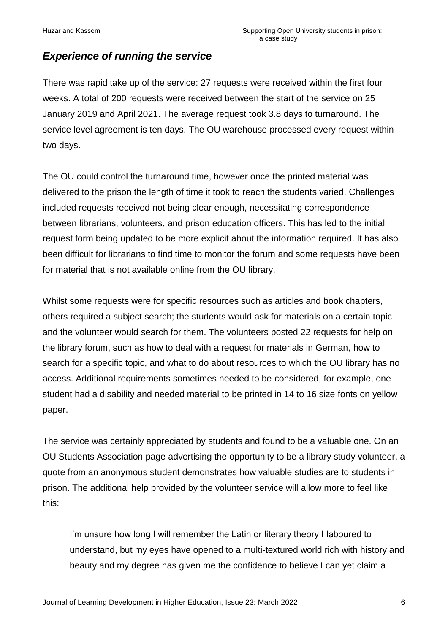### *Experience of running the service*

There was rapid take up of the service: 27 requests were received within the first four weeks. A total of 200 requests were received between the start of the service on 25 January 2019 and April 2021. The average request took 3.8 days to turnaround. The service level agreement is ten days. The OU warehouse processed every request within two days.

The OU could control the turnaround time, however once the printed material was delivered to the prison the length of time it took to reach the students varied. Challenges included requests received not being clear enough, necessitating correspondence between librarians, volunteers, and prison education officers. This has led to the initial request form being updated to be more explicit about the information required. It has also been difficult for librarians to find time to monitor the forum and some requests have been for material that is not available online from the OU library.

Whilst some requests were for specific resources such as articles and book chapters, others required a subject search; the students would ask for materials on a certain topic and the volunteer would search for them. The volunteers posted 22 requests for help on the library forum, such as how to deal with a request for materials in German, how to search for a specific topic, and what to do about resources to which the OU library has no access. Additional requirements sometimes needed to be considered, for example, one student had a disability and needed material to be printed in 14 to 16 size fonts on yellow paper.

The service was certainly appreciated by students and found to be a valuable one. On an OU Students Association page advertising the opportunity to be a library study volunteer, a quote from an anonymous student demonstrates how valuable studies are to students in prison. The additional help provided by the volunteer service will allow more to feel like this:

I'm unsure how long I will remember the Latin or literary theory I laboured to understand, but my eyes have opened to a multi-textured world rich with history and beauty and my degree has given me the confidence to believe I can yet claim a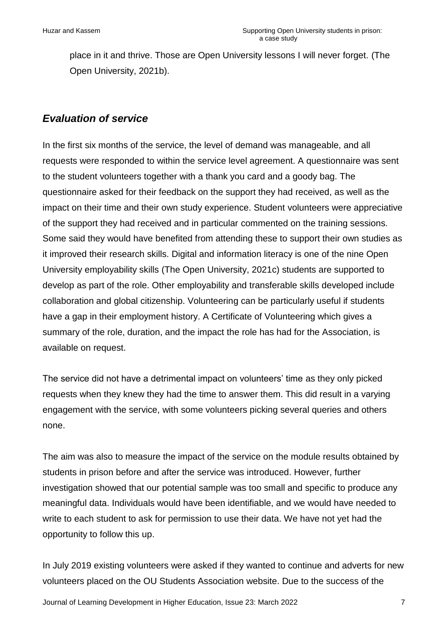place in it and thrive. Those are Open University lessons I will never forget. (The Open University, 2021b).

#### *Evaluation of service*

In the first six months of the service, the level of demand was manageable, and all requests were responded to within the service level agreement. A questionnaire was sent to the student volunteers together with a thank you card and a goody bag. The questionnaire asked for their feedback on the support they had received, as well as the impact on their time and their own study experience. Student volunteers were appreciative of the support they had received and in particular commented on the training sessions. Some said they would have benefited from attending these to support their own studies as it improved their research skills. Digital and information literacy is one of the nine Open University employability skills (The Open University, 2021c) students are supported to develop as part of the role. Other employability and transferable skills developed include collaboration and global citizenship. Volunteering can be particularly useful if students have a gap in their employment history. A Certificate of Volunteering which gives a summary of the role, duration, and the impact the role has had for the Association, is available on request.

The service did not have a detrimental impact on volunteers' time as they only picked requests when they knew they had the time to answer them. This did result in a varying engagement with the service, with some volunteers picking several queries and others none.

The aim was also to measure the impact of the service on the module results obtained by students in prison before and after the service was introduced. However, further investigation showed that our potential sample was too small and specific to produce any meaningful data. Individuals would have been identifiable, and we would have needed to write to each student to ask for permission to use their data. We have not yet had the opportunity to follow this up.

In July 2019 existing volunteers were asked if they wanted to continue and adverts for new volunteers placed on the OU Students Association website. Due to the success of the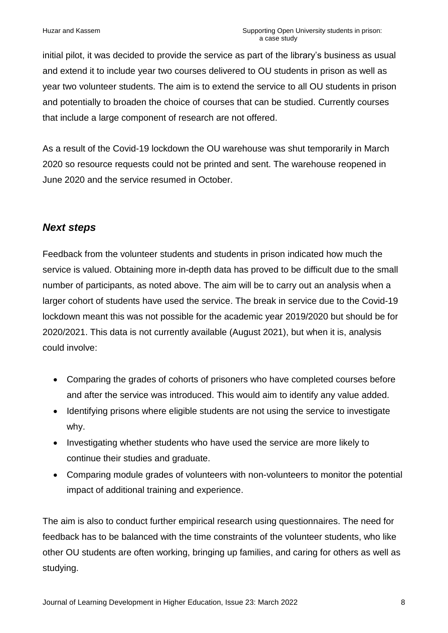initial pilot, it was decided to provide the service as part of the library's business as usual and extend it to include year two courses delivered to OU students in prison as well as year two volunteer students. The aim is to extend the service to all OU students in prison and potentially to broaden the choice of courses that can be studied. Currently courses that include a large component of research are not offered.

As a result of the Covid-19 lockdown the OU warehouse was shut temporarily in March 2020 so resource requests could not be printed and sent. The warehouse reopened in June 2020 and the service resumed in October.

### *Next steps*

Feedback from the volunteer students and students in prison indicated how much the service is valued. Obtaining more in-depth data has proved to be difficult due to the small number of participants, as noted above. The aim will be to carry out an analysis when a larger cohort of students have used the service. The break in service due to the Covid-19 lockdown meant this was not possible for the academic year 2019/2020 but should be for 2020/2021. This data is not currently available (August 2021), but when it is, analysis could involve:

- Comparing the grades of cohorts of prisoners who have completed courses before and after the service was introduced. This would aim to identify any value added.
- Identifying prisons where eligible students are not using the service to investigate why.
- Investigating whether students who have used the service are more likely to continue their studies and graduate.
- Comparing module grades of volunteers with non-volunteers to monitor the potential impact of additional training and experience.

The aim is also to conduct further empirical research using questionnaires. The need for feedback has to be balanced with the time constraints of the volunteer students, who like other OU students are often working, bringing up families, and caring for others as well as studying.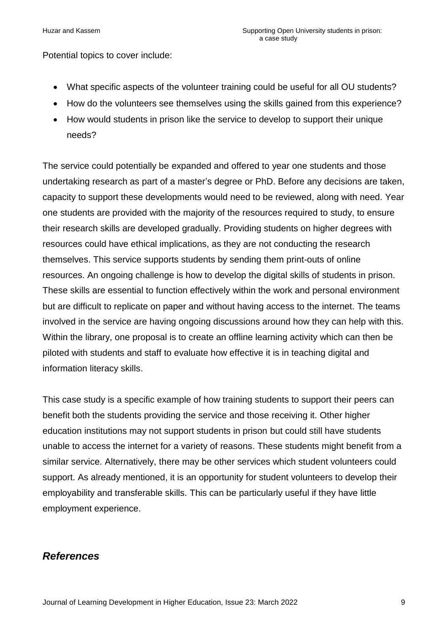Potential topics to cover include:

- What specific aspects of the volunteer training could be useful for all OU students?
- How do the volunteers see themselves using the skills gained from this experience?
- How would students in prison like the service to develop to support their unique needs?

The service could potentially be expanded and offered to year one students and those undertaking research as part of a master's degree or PhD. Before any decisions are taken, capacity to support these developments would need to be reviewed, along with need. Year one students are provided with the majority of the resources required to study, to ensure their research skills are developed gradually. Providing students on higher degrees with resources could have ethical implications, as they are not conducting the research themselves. This service supports students by sending them print-outs of online resources. An ongoing challenge is how to develop the digital skills of students in prison. These skills are essential to function effectively within the work and personal environment but are difficult to replicate on paper and without having access to the internet. The teams involved in the service are having ongoing discussions around how they can help with this. Within the library, one proposal is to create an offline learning activity which can then be piloted with students and staff to evaluate how effective it is in teaching digital and information literacy skills.

This case study is a specific example of how training students to support their peers can benefit both the students providing the service and those receiving it. Other higher education institutions may not support students in prison but could still have students unable to access the internet for a variety of reasons. These students might benefit from a similar service. Alternatively, there may be other services which student volunteers could support. As already mentioned, it is an opportunity for student volunteers to develop their employability and transferable skills. This can be particularly useful if they have little employment experience.

### *References*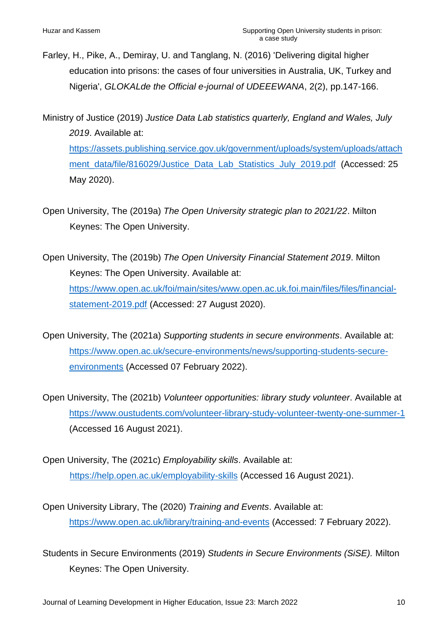- Farley, H., Pike, A., Demiray, U. and Tanglang, N. (2016) 'Delivering digital higher education into prisons: the cases of four universities in Australia, UK, Turkey and Nigeria', *GLOKALde the Official e-journal of UDEEEWANA*, 2(2), pp.147-166.
- Ministry of Justice (2019) *Justice Data Lab statistics quarterly, England and Wales, July 2019*. Available at: [https://assets.publishing.service.gov.uk/government/uploads/system/uploads/attach](https://assets.publishing.service.gov.uk/government/uploads/system/uploads/attachment_data/file/816029/Justice_Data_Lab_Statistics_July_2019.pdf) [ment\\_data/file/816029/Justice\\_Data\\_Lab\\_Statistics\\_July\\_2019.pdf](https://assets.publishing.service.gov.uk/government/uploads/system/uploads/attachment_data/file/816029/Justice_Data_Lab_Statistics_July_2019.pdf) (Accessed: 25 May 2020).
- Open University, The (2019a) *The Open University strategic plan to 2021/22*. Milton Keynes: The Open University.
- Open University, The (2019b) *The Open University Financial Statement 2019*. Milton Keynes: The Open University. Available at: [https://www.open.ac.uk/foi/main/sites/www.open.ac.uk.foi.main/files/files/financial](https://www.open.ac.uk/foi/main/sites/www.open.ac.uk.foi.main/files/files/financial-statement-2019.pdf)[statement-2019.pdf](https://www.open.ac.uk/foi/main/sites/www.open.ac.uk.foi.main/files/files/financial-statement-2019.pdf) (Accessed: 27 August 2020).
- Open University, The (2021a) *Supporting students in secure environments*. Available at: [https://www.open.ac.uk/secure-environments/news/supporting-students-secure](https://www.open.ac.uk/secure-environments/news/supporting-students-secure-environments)[environments](https://www.open.ac.uk/secure-environments/news/supporting-students-secure-environments) (Accessed 07 February 2022).
- Open University, The (2021b) *Volunteer opportunities: library study volunteer*. Available at <https://www.oustudents.com/volunteer-library-study-volunteer-twenty-one-summer-1> (Accessed 16 August 2021).
- Open University, The (2021c) *Employability skills*. Available at: <https://help.open.ac.uk/employability-skills> (Accessed 16 August 2021).
- Open University Library, The (2020) *Training and Events*. Available at: <https://www.open.ac.uk/library/training-and-events> (Accessed: 7 February 2022).
- Students in Secure Environments (2019) *Students in Secure Environments (SiSE).* Milton Keynes: The Open University.